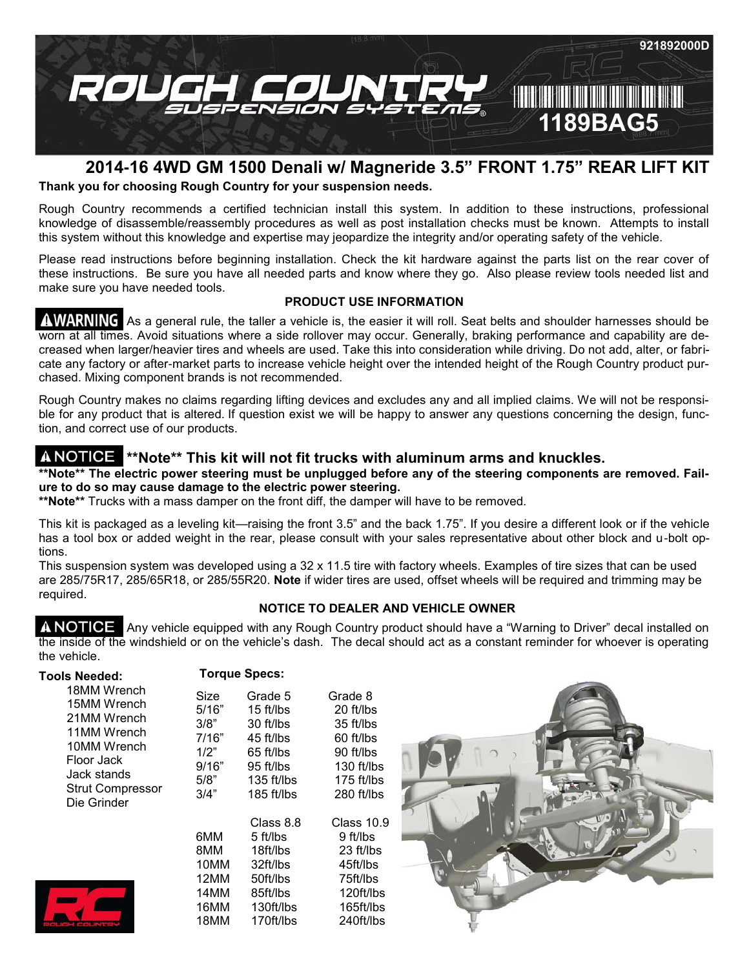

# **2014-16 4WD GM 1500 Denali w/ Magneride 3.5" FRONT 1.75" REAR LIFT KIT**

**Thank you for choosing Rough Country for your suspension needs.**

Rough Country recommends a certified technician install this system. In addition to these instructions, professional knowledge of disassemble/reassembly procedures as well as post installation checks must be known. Attempts to install this system without this knowledge and expertise may jeopardize the integrity and/or operating safety of the vehicle.

Please read instructions before beginning installation. Check the kit hardware against the parts list on the rear cover of these instructions. Be sure you have all needed parts and know where they go. Also please review tools needed list and make sure you have needed tools.

## **PRODUCT USE INFORMATION**

AWARNING As a general rule, the taller a vehicle is, the easier it will roll. Seat belts and shoulder harnesses should be worn at all times. Avoid situations where a side rollover may occur. Generally, braking performance and capability are decreased when larger/heavier tires and wheels are used. Take this into consideration while driving. Do not add, alter, or fabricate any factory or after-market parts to increase vehicle height over the intended height of the Rough Country product purchased. Mixing component brands is not recommended.

Rough Country makes no claims regarding lifting devices and excludes any and all implied claims. We will not be responsible for any product that is altered. If question exist we will be happy to answer any questions concerning the design, function, and correct use of our products.

## **\*\*Note\*\* This kit will not fit trucks with aluminum arms and knuckles.**

#### \*\*Note\*\* The electric power steering must be unplugged before any of the steering components are removed. Fail**ure to do so may cause damage to the electric power steering.**

**\*\*Note\*\*** Trucks with a mass damper on the front diff, the damper will have to be removed.

This kit is packaged as a leveling kit—raising the front 3.5" and the back 1.75". If you desire a different look or if the vehicle has a tool box or added weight in the rear, please consult with your sales representative about other block and u-bolt options.

This suspension system was developed using a 32 x 11.5 tire with factory wheels. Examples of tire sizes that can be used are 285/75R17, 285/65R18, or 285/55R20. **Note** if wider tires are used, offset wheels will be required and trimming may be required.

## **NOTICE TO DEALER AND VEHICLE OWNER**

A NOTICE Any vehicle equipped with any Rough Country product should have a "Warning to Driver" decal installed on the inside of the windshield or on the vehicle's dash. The decal should act as a constant reminder for whoever is operating the vehicle.

| Tools Needed:<br>18MM Wrench<br>15MM Wrench<br>21MM Wrench<br>11MM Wrench<br>10MM Wrench<br>Floor Jack<br>Jack stands<br><b>Strut Compressor</b><br>Die Grinder | <b>Torque Specs:</b>                                            |                                                                                                        |                                                                                                         |  |
|-----------------------------------------------------------------------------------------------------------------------------------------------------------------|-----------------------------------------------------------------|--------------------------------------------------------------------------------------------------------|---------------------------------------------------------------------------------------------------------|--|
|                                                                                                                                                                 | Size<br>5/16"<br>3/8"<br>7/16"<br>1/2"<br>9/16"<br>5/8"<br>3/4" | Grade 5<br>15 ft/lbs<br>30 ft/lbs<br>45 ft/lbs<br>65 ft/lbs<br>$95$ ft/lbs<br>135 ft/lbs<br>185 ft/lbs | Grade 8<br>20 ft/lbs<br>35 ft/lbs<br>60 ft/lbs<br>90 ft/lbs<br>130 ft/lbs<br>175 ft/lbs<br>$280$ ft/lbs |  |
|                                                                                                                                                                 | 6MM<br>8MM<br>10MM<br>12MM<br>14MM<br>16MM<br>18MM              | Class 8.8<br>5 ft/lbs<br>18ft/lbs<br>32ft/lbs<br>50ft/lbs<br>85ft/lbs<br>130ft/lbs<br>170ft/lbs        | Class 10.9<br>9 ft/lbs<br>23 ft/lbs<br>45ft/lbs<br>75ft/lbs<br>120ft/lbs<br>165ft/lbs<br>240ft/lbs      |  |

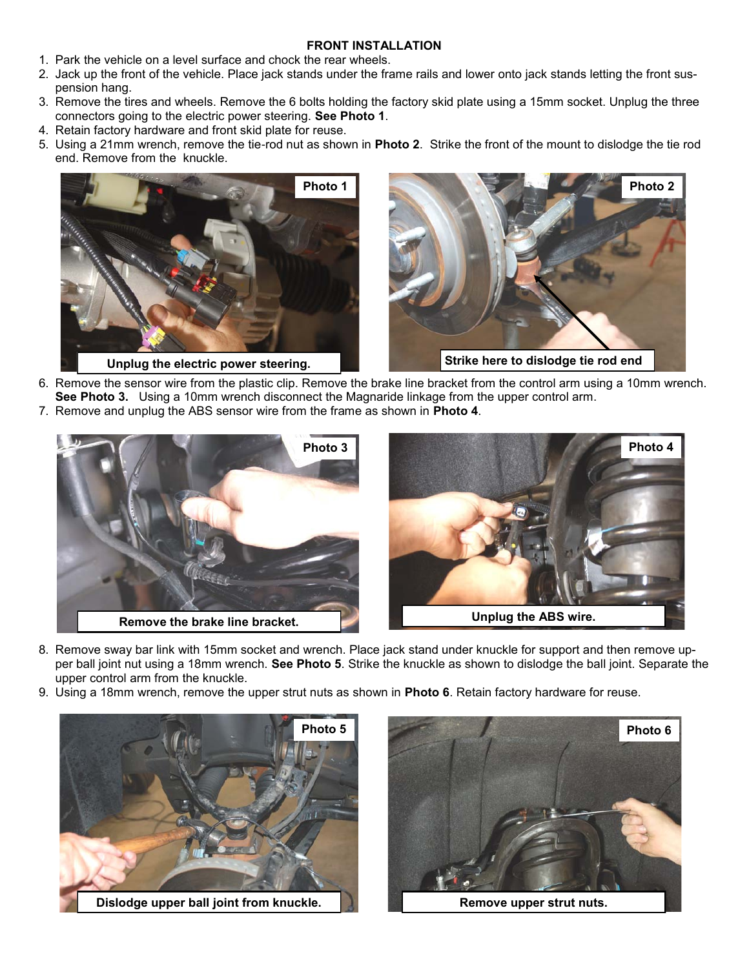## **FRONT INSTALLATION**

- 1. Park the vehicle on a level surface and chock the rear wheels.
- 2. Jack up the front of the vehicle. Place jack stands under the frame rails and lower onto jack stands letting the front suspension hang.
- 3. Remove the tires and wheels. Remove the 6 bolts holding the factory skid plate using a 15mm socket. Unplug the three connectors going to the electric power steering. **See Photo 1**.
- 4. Retain factory hardware and front skid plate for reuse.
- 5. Using a 21mm wrench, remove the tie-rod nut as shown in **Photo 2**. Strike the front of the mount to dislodge the tie rod end. Remove from the knuckle.





- 6. Remove the sensor wire from the plastic clip. Remove the brake line bracket from the control arm using a 10mm wrench. **See Photo 3.** Using a 10mm wrench disconnect the Magnaride linkage from the upper control arm.
- 7. Remove and unplug the ABS sensor wire from the frame as shown in **Photo 4**.





- 8. Remove sway bar link with 15mm socket and wrench. Place jack stand under knuckle for support and then remove upper ball joint nut using a 18mm wrench. **See Photo 5**. Strike the knuckle as shown to dislodge the ball joint. Separate the upper control arm from the knuckle.
- 9. Using a 18mm wrench, remove the upper strut nuts as shown in **Photo 6**. Retain factory hardware for reuse.



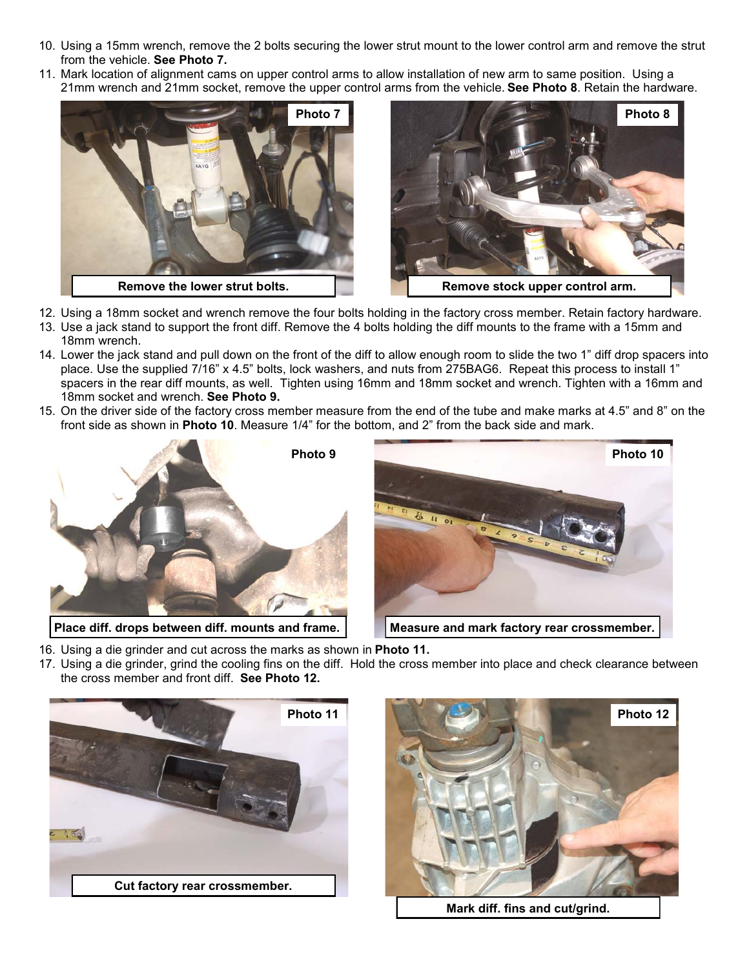- 10. Using a 15mm wrench, remove the 2 bolts securing the lower strut mount to the lower control arm and remove the strut from the vehicle. **See Photo 7.**
- 11. Mark location of alignment cams on upper control arms to allow installation of new arm to same position. Using a 21mm wrench and 21mm socket, remove the upper control arms from the vehicle. **See Photo 8**. Retain the hardware.





- 12. Using a 18mm socket and wrench remove the four bolts holding in the factory cross member. Retain factory hardware.
- 13. Use a jack stand to support the front diff. Remove the 4 bolts holding the diff mounts to the frame with a 15mm and 18mm wrench.
- 14. Lower the jack stand and pull down on the front of the diff to allow enough room to slide the two 1" diff drop spacers into place. Use the supplied 7/16" x 4.5" bolts, lock washers, and nuts from 275BAG6. Repeat this process to install 1" spacers in the rear diff mounts, as well. Tighten using 16mm and 18mm socket and wrench. Tighten with a 16mm and 18mm socket and wrench. **See Photo 9.**
- 15. On the driver side of the factory cross member measure from the end of the tube and make marks at 4.5" and 8" on the front side as shown in **Photo 10**. Measure 1/4" for the bottom, and 2" from the back side and mark.



Place diff. drops between diff. mounts and frame. **Measure and mark factory rear crossmember.** 



- 16. Using a die grinder and cut across the marks as shown in **Photo 11.**
- 17. Using a die grinder, grind the cooling fins on the diff. Hold the cross member into place and check clearance between the cross member and front diff. **See Photo 12.**





**Mark diff. fins and cut/grind.**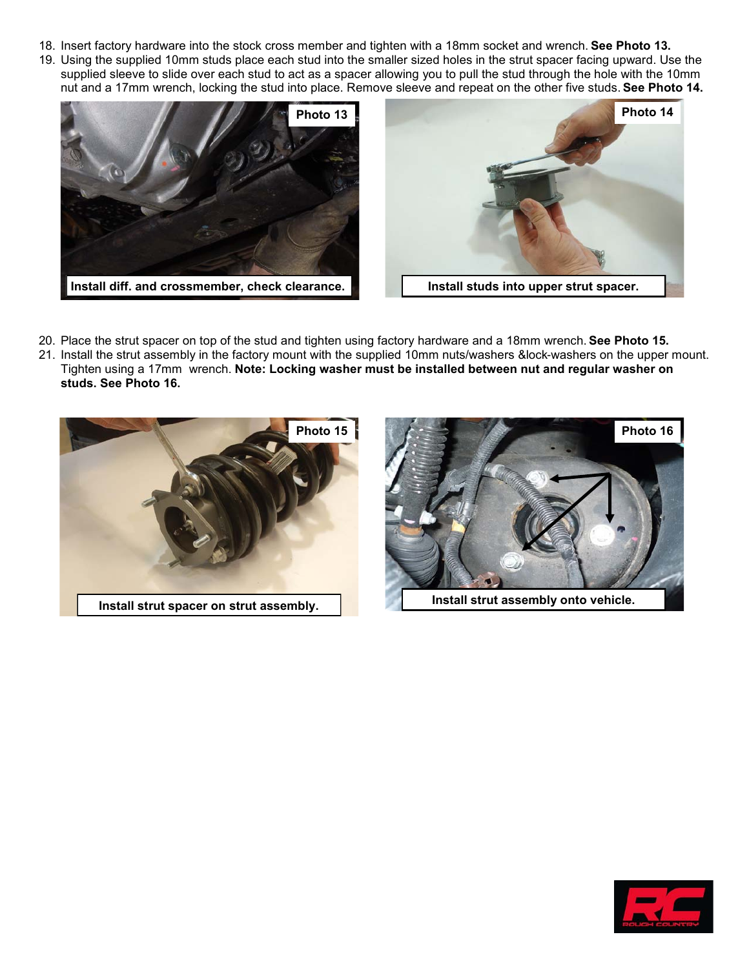- 18. Insert factory hardware into the stock cross member and tighten with a 18mm socket and wrench. **See Photo 13.**
- 19. Using the supplied 10mm studs place each stud into the smaller sized holes in the strut spacer facing upward. Use the supplied sleeve to slide over each stud to act as a spacer allowing you to pull the stud through the hole with the 10mm nut and a 17mm wrench, locking the stud into place. Remove sleeve and repeat on the other five studs. **See Photo 14.**





- 20. Place the strut spacer on top of the stud and tighten using factory hardware and a 18mm wrench. **See Photo 15.**
- 21. Install the strut assembly in the factory mount with the supplied 10mm nuts/washers &lock-washers on the upper mount. Tighten using a 17mm wrench. **Note: Locking washer must be installed between nut and regular washer on studs. See Photo 16.**





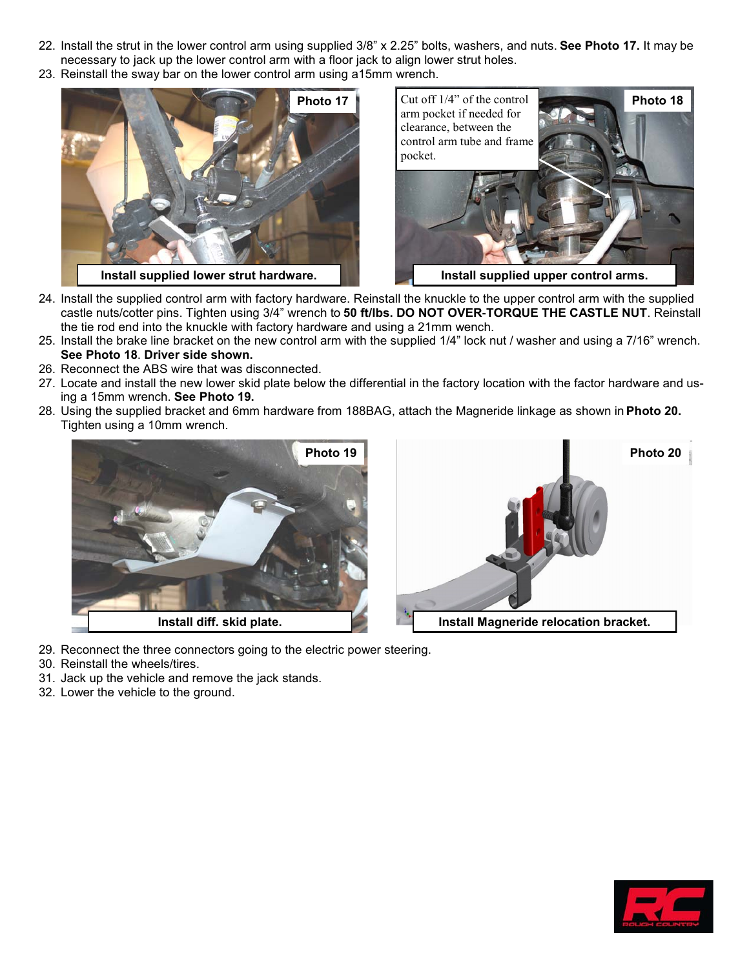- 22. Install the strut in the lower control arm using supplied 3/8" x 2.25" bolts, washers, and nuts. **See Photo 17.** It may be necessary to jack up the lower control arm with a floor jack to align lower strut holes.
- 23. Reinstall the sway bar on the lower control arm using a15mm wrench.





- 24. Install the supplied control arm with factory hardware. Reinstall the knuckle to the upper control arm with the supplied castle nuts/cotter pins. Tighten using 3/4" wrench to **50 ft/lbs. DO NOT OVER-TORQUE THE CASTLE NUT**. Reinstall the tie rod end into the knuckle with factory hardware and using a 21mm wench.
- 25. Install the brake line bracket on the new control arm with the supplied 1/4" lock nut / washer and using a 7/16" wrench. **See Photo 18**. **Driver side shown.**
- 26. Reconnect the ABS wire that was disconnected.
- 27. Locate and install the new lower skid plate below the differential in the factory location with the factor hardware and using a 15mm wrench. **See Photo 19.**
- 28. Using the supplied bracket and 6mm hardware from 188BAG, attach the Magneride linkage as shown in **Photo 20.**  Tighten using a 10mm wrench.





- 29. Reconnect the three connectors going to the electric power steering.
- 30. Reinstall the wheels/tires.
- 31. Jack up the vehicle and remove the jack stands.
- 32. Lower the vehicle to the ground.

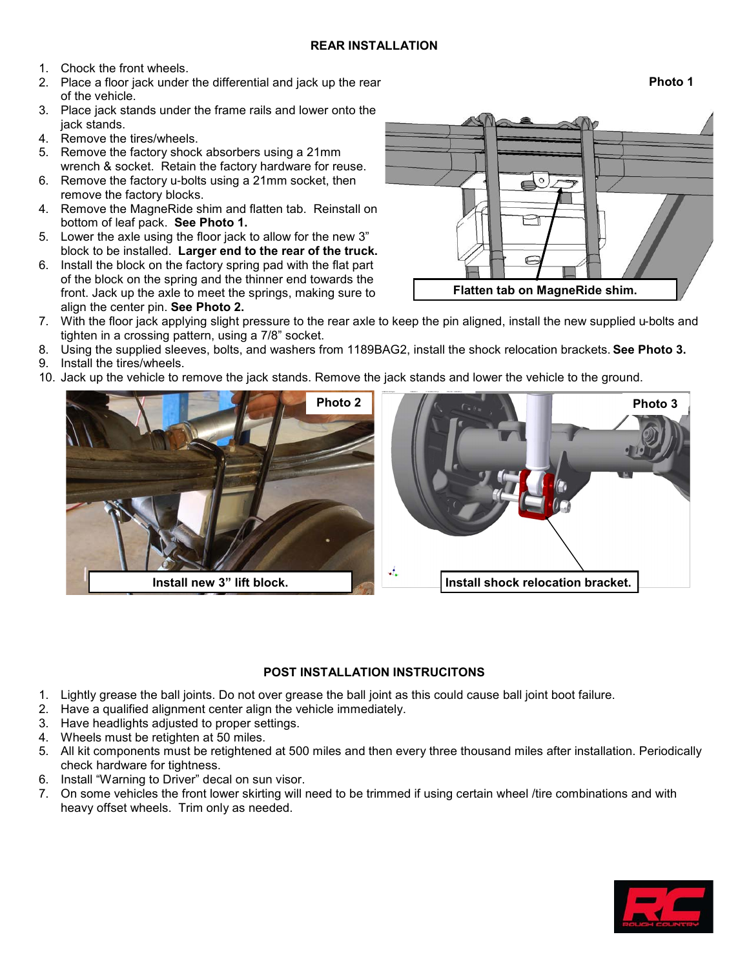- 1. Chock the front wheels.
- 2. Place a floor jack under the differential and jack up the rear of the vehicle.
- 3. Place jack stands under the frame rails and lower onto the jack stands.
- 4. Remove the tires/wheels.
- 5. Remove the factory shock absorbers using a 21mm wrench & socket. Retain the factory hardware for reuse.
- 6. Remove the factory u-bolts using a 21mm socket, then remove the factory blocks.
- 4. Remove the MagneRide shim and flatten tab. Reinstall on bottom of leaf pack. **See Photo 1.**
- 5. Lower the axle using the floor jack to allow for the new 3" block to be installed. **Larger end to the rear of the truck.**
- 6. Install the block on the factory spring pad with the flat part of the block on the spring and the thinner end towards the front. Jack up the axle to meet the springs, making sure to align the center pin. **See Photo 2.**
- 7. With the floor jack applying slight pressure to the rear axle to keep the pin aligned, install the new supplied u-bolts and tighten in a crossing pattern, using a 7/8" socket.
- 8. Using the supplied sleeves, bolts, and washers from 1189BAG2, install the shock relocation brackets. **See Photo 3.**
- 9. Install the tires/wheels.
- 10. Jack up the vehicle to remove the jack stands. Remove the jack stands and lower the vehicle to the ground.

**POST INSTALLATION INSTRUCITONS**

**Install new 3" lift block. Install shock relocation bracket.**

J,

- 1. Lightly grease the ball joints. Do not over grease the ball joint as this could cause ball joint boot failure.
- 2. Have a qualified alignment center align the vehicle immediately.
- 3. Have headlights adjusted to proper settings.
- 4. Wheels must be retighten at 50 miles.
- 5. All kit components must be retightened at 500 miles and then every three thousand miles after installation. Periodically check hardware for tightness.
- 6. Install "Warning to Driver" decal on sun visor.
- 7. On some vehicles the front lower skirting will need to be trimmed if using certain wheel /tire combinations and with heavy offset wheels. Trim only as needed.





**Photo 2 Photo 3**

**Photo 1**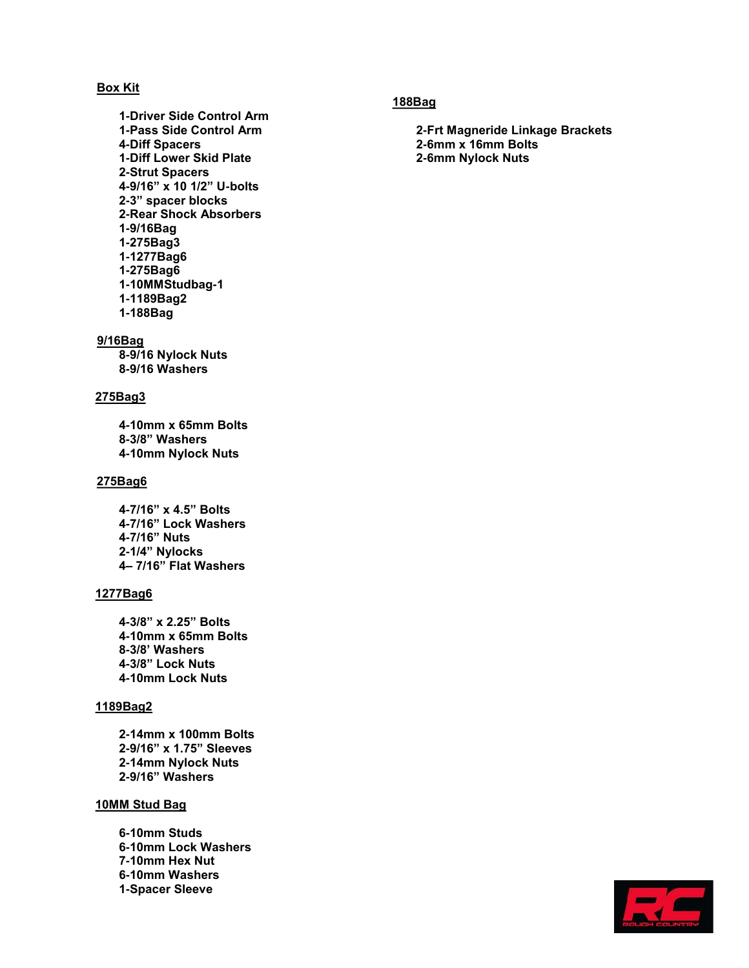### **Box Kit**

**-Driver Side Control Arm -Pass Side Control Arm -Diff Spacers -Diff Lower Skid Plate -Strut Spacers -9/16" x 10 1/2" U-bolts -3" spacer blocks -Rear Shock Absorbers -9/16Bag -275Bag3 -1277Bag6 -275Bag6 -10MMStudbag-1 -1189Bag2 -188Bag**

#### **9/16Bag**

**-9/16 Nylock Nuts -9/16 Washers**

#### **275Bag3**

**-10mm x 65mm Bolts -3/8" Washers -10mm Nylock Nuts**

#### **275Bag6**

**-7/16" x 4.5" Bolts -7/16" Lock Washers -7/16" Nuts -1/4" Nylocks 4– 7/16" Flat Washers**

#### **1277Bag6**

**-3/8" x 2.25" Bolts -10mm x 65mm Bolts -3/8' Washers -3/8" Lock Nuts -10mm Lock Nuts**

## **1189Bag2**

**-14mm x 100mm Bolts -9/16" x 1.75" Sleeves -14mm Nylock Nuts -9/16" Washers**

#### **10MM Stud Bag**

**-10mm Studs -10mm Lock Washers -10mm Hex Nut -10mm Washers -Spacer Sleeve**

### **188Bag**

**-Frt Magneride Linkage Brackets -6mm x 16mm Bolts -6mm Nylock Nuts**